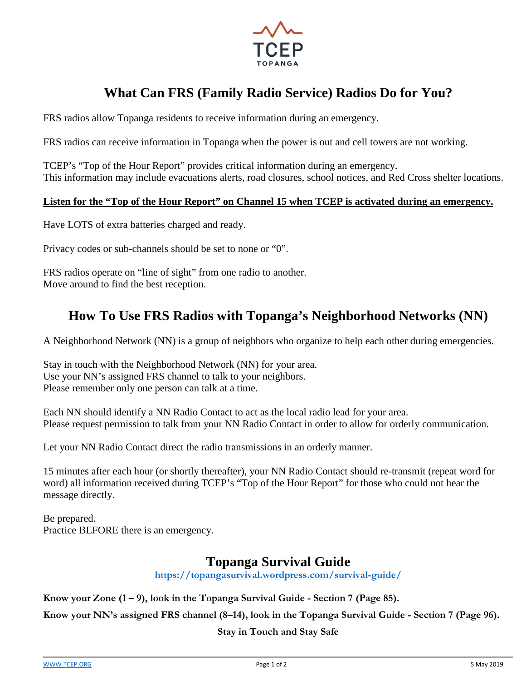

# **What Can FRS (Family Radio Service) Radios Do for You?**

FRS radios allow Topanga residents to receive information during an emergency.

FRS radios can receive information in Topanga when the power is out and cell towers are not working.

TCEP's "Top of the Hour Report" provides critical information during an emergency. This information may include evacuations alerts, road closures, school notices, and Red Cross shelter locations.

#### **Listen for the "Top of the Hour Report" on Channel 15 when TCEP is activated during an emergency.**

Have LOTS of extra batteries charged and ready.

Privacy codes or sub-channels should be set to none or "0".

FRS radios operate on "line of sight" from one radio to another. Move around to find the best reception.

# **How To Use FRS Radios with Topanga's Neighborhood Networks (NN)**

A Neighborhood Network (NN) is a group of neighbors who organize to help each other during emergencies.

Stay in touch with the Neighborhood Network (NN) for your area. Use your NN's assigned FRS channel to talk to your neighbors. Please remember only one person can talk at a time.

Each NN should identify a NN Radio Contact to act as the local radio lead for your area. Please request permission to talk from your NN Radio Contact in order to allow for orderly communication.

Let your NN Radio Contact direct the radio transmissions in an orderly manner.

15 minutes after each hour (or shortly thereafter), your NN Radio Contact should re-transmit (repeat word for word) all information received during TCEP's "Top of the Hour Report" for those who could not hear the message directly.

Be prepared. Practice BEFORE there is an emergency.

### **Topanga Survival Guide**

**<https://topangasurvival.wordpress.com/survival-guide/>**

**Know your Zone (1 – 9), look in the Topanga Survival Guide - Section 7 (Page 85).**

**Know your NN's assigned FRS channel (8–14), look in the Topanga Survival Guide - Section 7 (Page 96).**

**Stay in Touch and Stay Safe**